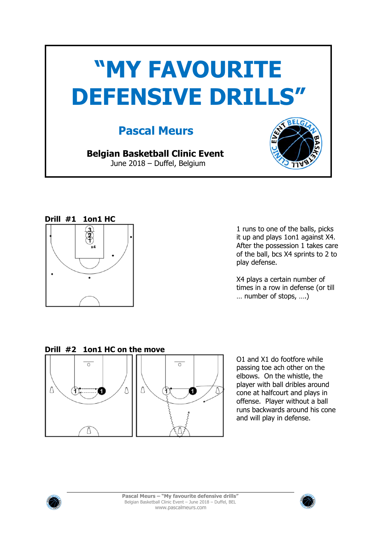



1 runs to one of the balls, picks it up and plays 1on1 against X4. After the possession 1 takes care of the ball, bcs X4 sprints to 2 to play defense.

X4 plays a certain number of times in a row in defense (or till … number of stops, ….)

### **Drill #2 1on1 HC on the move**



O1 and X1 do footfore while passing toe ach other on the elbows. On the whistle, the player with ball dribles around cone at halfcourt and plays in offense. Player without a ball runs backwards around his cone and will play in defense.



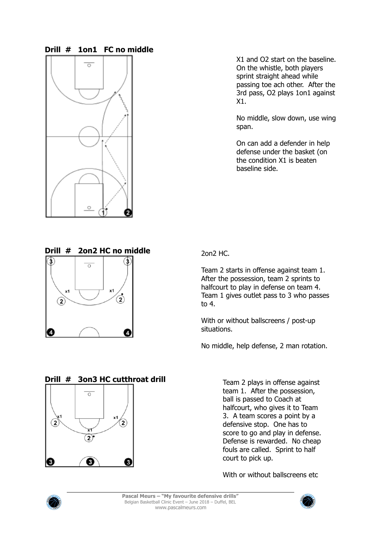#### **Drill # 1on1 FC no middle**



X1 and O2 start on the baseline. On the whistle, both players sprint straight ahead while passing toe ach other. After the 3rd pass, O2 plays 1on1 against X1.

No middle, slow down, use wing span.

On can add a defender in help defense under the basket (on the condition X1 is beaten baseline side.



### **Drill # 3on3 HC cutthroat drill**



2on2 HC.

Team 2 starts in offense against team 1. After the possession, team 2 sprints to halfcourt to play in defense on team 4. Team 1 gives outlet pass to 3 who passes to 4.

With or without ballscreens / post-up situations.

No middle, help defense, 2 man rotation.

Team 2 plays in offense against team 1. After the possession, ball is passed to Coach at halfcourt, who gives it to Team 3. A team scores a point by a defensive stop. One has to score to go and play in defense. Defense is rewarded. No cheap fouls are called. Sprint to half court to pick up.

With or without ballscreens etc.



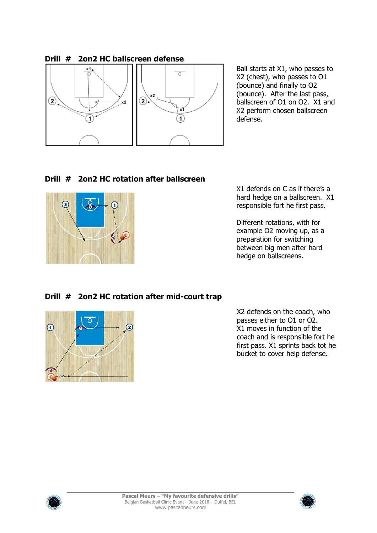

Ball starts at X1, who passes to X2 (chest), who passes to O1 (bounce) and finally to O2 (bounce). After the last pass, ballscreen of O1 on O2. X1 and X2 perform chosen ballscreen defense.

# **Drill # 2on2 HC rotation after ballscreen**



X1 defends on C as if there's a hard hedge on a ballscreen. X1 responsible fort he first pass.

Different rotations, with for example O2 moving up, as a preparation for switching between big men after hard hedge on ballscreens.

## **Drill # 2on2 HC rotation after mid-court trap**



X2 defends on the coach, who passes either to O1 or O2. X1 moves in function of the coach and is responsible fort he first pass. X1 sprints back tot he bucket to cover help defense.